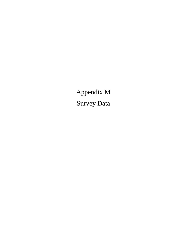Appendix M Survey Data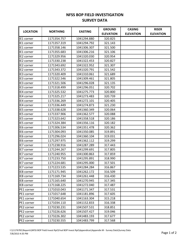## **NFSS BOP FIELD INVESTIGATION SURVEY DATA**

| <b>LOCATION</b>   | <b>NORTHING</b> | <b>EASTING</b> | <b>GROUND</b>    | <b>CASING</b>    | <b>RISER</b>     |
|-------------------|-----------------|----------------|------------------|------------------|------------------|
|                   |                 |                | <b>ELEVATION</b> | <b>ELEVATION</b> | <b>ELEVATION</b> |
| <b>IE1</b> corner | 1171354.757     | 1041294.880    | 320.825          |                  |                  |
| IE1 corner        | 1171357.319     | 1041294.792    | 321.143          |                  |                  |
| IE1 corner        | 1171358.146     | 1041306.307    | 321.500          |                  |                  |
| IE1 corner        | 1171355.683     | 1041306.216    | 321.106          |                  |                  |
| IE2 corner        | 1171329.956     | 1041320.030    | 320.954          |                  |                  |
| IE2 corner        | 1171330.238     | 1041322.453    | 320.827          |                  |                  |
| IE2 corner        | 1171343.692     | 1041322.952    | 321.307          |                  |                  |
| IE2 corner        | 1171343.372     | 1041320.791    | 321.542          |                  |                  |
| IE3 corner        | 1171320.409     | 1041310.061    | 321.689          |                  |                  |
| IE3 corner        | 1171322.546     | 1041309.461    | 321.805          |                  |                  |
| IE3 corner        | 1171321.506     | 1041296.028    | 321.135          |                  |                  |
| IE3 corner        | 1171318.499     | 1041296.051    | 320.702          |                  |                  |
| IE4 corner        | 1171325.532     | 1041275.773    | 320.800          |                  |                  |
| IE4 corner        | 1171325.217     | 1041273.483    | 320.739          |                  |                  |
| IE4 corner        | 1171336.269     | 1041272.101    | 320.405          |                  |                  |
| IE4 corner        | 1171336.449     | 1041274.873    | 321.230          |                  |                  |
| IE5 corner        | 1171338.628     | 1041360.349    | 320.064          |                  |                  |
| IE5 corner        | 1171337.906     | 1041362.577    | 320.088          |                  |                  |
| IE5 corner        | 1171323.642     | 1041358.518    | 320.186          |                  |                  |
| IE5 corner        | 1171324.384     | 1041356.116    | 320.182          |                  |                  |
| IE6 corner        | 1171306.534     | 1041351.478    | 320.362          |                  |                  |
| IE6 corner        | 1171304.093     | 1041350.085    | 319.891          |                  |                  |
| IE6 corner        | 1171296.024     | 1041360.104    | 319.031          |                  |                  |
| IE6 corner        | 1171297.975     | 1041362.112    | 319.299          |                  |                  |
| IE7 corner        | 1171238.916     | 1041287.289    | 317.443          |                  |                  |
| IE7 corner        | 1171244.267     | 1041299.691    | 317.805          |                  |                  |
| IE7 corner        | 1171240.955     | 1041300.863    | 317.859          |                  |                  |
| IE7 corner        | 1171233.750     | 1041295.891    | 318.990          |                  |                  |
| IE7 corner        | 1171224.681     | 1041295.000    | 317.501          |                  |                  |
| IE7 corner        | 1171223.535     | 1041284.284    | 316.867          |                  |                  |
| IE8 corner        | 1171171.945     | 1041262.172    | 316.509          |                  |                  |
| IE8 corner        | 1171169.734     | 1041261.448    | 316.430          |                  |                  |
| IE8 corner        | 1171165.640     | 1041270.945    | 317.345          |                  |                  |
| IE8 corner        | 1171168.225     | 1041272.040    | 317.487          |                  |                  |
| PE1 corner        | 1171010.043     | 1041171.347    | 317.531          |                  |                  |
| PE1 corner        | 1171017.648     | 1041181.896    | 317.605          |                  |                  |
| PE1 corner        | 1171040.654     | 1041163.304    | 315.218          |                  |                  |
| PE1 corner        | 1171034.110     | 1041152.833    | 316.338          |                  |                  |
| PE2 corner        | 1173230.231     | 1041507.531    | 318.851          |                  |                  |
| PE2 corner        | 1173226.626     | 1041507.427    | 319.046          |                  |                  |
| PE2 corner        | 1173226.302     | 1041483.193    | 317.677          |                  |                  |
| PE2 corner        | 1173230.555     | 1041483.799    | 317.568          |                  |                  |